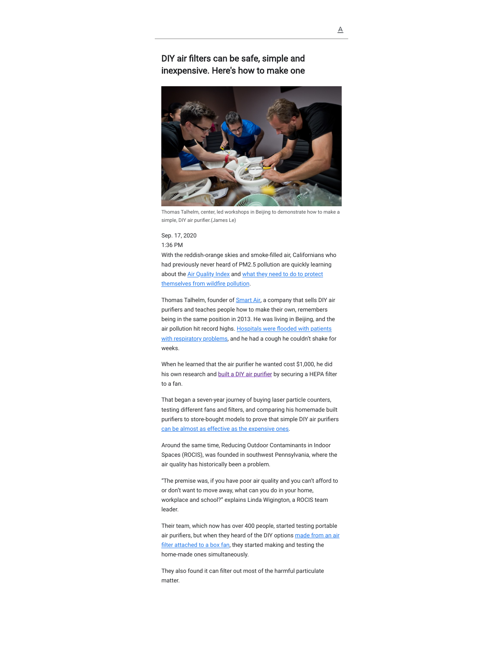## DIY air filters can be safe, simple and inexpensive. Here's how to make one



Thomas Talhelm, center, led workshops in Beijing to demonstrate how to make a simple, DIY air purifier.(James Le)

## Sep. 17, 2020 1:36 PM

With the reddish-orange skies and smoke-filled air, Californians who had previously never heard of PM2.5 pollution are quickly learning [about the](https://www.latimes.com/environment/story/2020-09-11/your-questions-about-air-quality-answered) [Air Quality Inde](https://www.latimes.com/california/story/2020-09-11/air-quality-index-numbers-maps)[x and what they need to do to protect](https://www.latimes.com/environment/story/2020-09-11/your-questions-about-air-quality-answered) themselves from wildfire pollution.

Thomas Talhelm, founder of **Smart Air**, a company that sells DIY air purifiers and teaches people how to make their own, remembers being in the same position in 2013. He was living in Beijing, and the air pollution hit record highs. Hospitals were flooded with patients with respiratory problems, and he had a cough he couldn't shake for weeks.

When he learned that the air purifier he wanted cost \$1,000, he did his own research and built a DIY air purifier by securing a HEPA filter to a fan.

That began a seven-year journey of buying laser particle counters, testing different fans and filters, and comparing his homemade built purifiers to store-bought models to prove that simple DIY air purifiers [can be almost as effective as the expensive ones.](https://smartairfilters.com/en/blog/diy-filter-compared/)

Around the same time, Reducing Outdoor Contaminants in Indoor Spaces (ROCIS), was founded in southwest Pennsylvania, where the air quality has historically been a problem.

"The premise was, if you have poor air quality and you can't afford to or don't want to move away, what can you do in your home, workplace and school?" explains Linda Wigington, a ROCIS team leader.

Their team, which now has over 400 people, started testing portable air purifiers, but when they heard of the DIY options made from an air filter attached to a box fan, they started making and testing the home-made ones simultaneously.

They also found it can filter out most of the harmful particulate matter.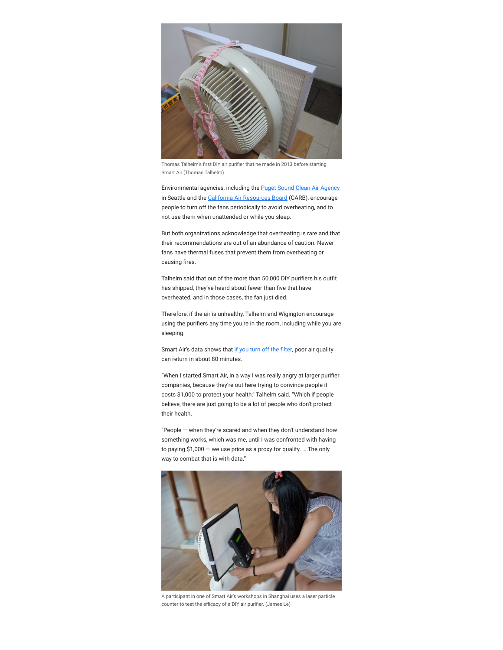

Thomas Talhelm's first DIY air purifier that he made in 2013 before starting Smart Air.(Thomas Talhelm)

Environmental agencies, including the **[Puget Sound Clean Air Agency](https://pscleanair.gov/525/DIY-Air-Filter)** in Seattle and the [California Air Resources Board](https://twitter.com/AirResources/status/1303776658277588994) (CARB), encourage people to turn off the fans periodically to avoid overheating, and to not use them when unattended or while you sleep.

But both organizations acknowledge that overheating is rare and that their recommendations are out of an abundance of caution. Newer fans have thermal fuses that prevent them from overheating or causing fires.

Talhelm said that out of the more than 50,000 DIY purifiers his outfit has shipped, they've heard about fewer than five that have overheated, and in those cases, the fan just died.

Therefore, if the air is unhealthy, Talhelm and Wigington encourage using the purifiers any time you're in the room, including while you are sleeping.

Smart Air's data shows that if you turn off the filter, poor air quality can return in about 80 minutes.

"When I started Smart Air, in a way I was really angry at larger purifier companies, because they're out here trying to convince people it costs \$1,000 to protect your health," Talhelm said. "Which if people believe, there are just going to be a lot of people who don't protect their health.

"People — when they're scared and when they don't understand how something works, which was me, until I was confronted with having to paying \$1,000 — we use price as a proxy for quality. … The only way to combat that is with data."



A participant in one of Smart Air's workshops in Shanghai uses a laser particle counter to test the efficacy of a DIY air purifier. (James Le)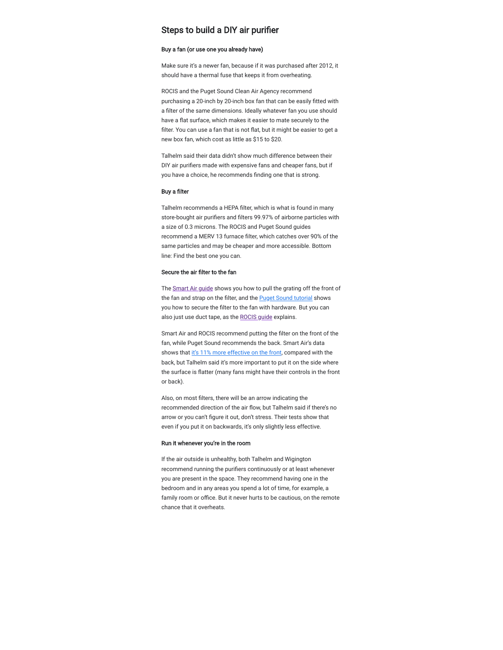## Steps to build a DIY air purifier

#### Buy a fan (or use one you already have)

Make sure it's a newer fan, because if it was purchased after 2012, it should have a thermal fuse that keeps it from overheating.

ROCIS and the Puget Sound Clean Air Agency recommend purchasing a 20-inch by 20-inch box fan that can be easily fitted with a filter of the same dimensions. Ideally whatever fan you use should have a flat surface, which makes it easier to mate securely to the filter. You can use a fan that is not flat, but it might be easier to get a new box fan, which cost as little as \$15 to \$20.

Talhelm said their data didn't show much difference between their DIY air purifiers made with expensive fans and cheaper fans, but if you have a choice, he recommends finding one that is strong.

#### Buy a filter

Talhelm recommends a HEPA filter, which is what is found in many store-bought air purifiers and filters 99.97% of airborne particles with a size of 0.3 microns. The ROCIS and Puget Sound guides recommend a MERV 13 furnace filter, which catches over 90% of the same particles and may be cheaper and more accessible. Bottom line: Find the best one you can.

#### Secure the air filter to the fan

The [Smart Air guide](https://smartairfilters.com/en/blog/how-to-make-diy-air-purifier/) shows you how to pull the grating off the front of the fan and strap on the filter, and the [Puget Sound tutorial](https://pscleanair.gov/525/DIY-Air-Filter) shows you how to secure the filter to the fan with hardware. But you can also just use duct tape, as the [ROCIS guide](http://rocis.org/072318-how-assemble-fanfilter) explains.

Smart Air and ROCIS recommend putting the filter on the front of the fan, while Puget Sound recommends the back. Smart Air's data shows that [it's 11% more effective on the front](https://smartairfilters.com/en/blog/air-purifier-filter-on-the-front-or-back/), compared with the back, but Talhelm said it's more important to put it on the side where the surface is flatter (many fans might have their controls in the front or back).

Also, on most filters, there will be an arrow indicating the recommended direction of the air flow, but Talhelm said if there's no arrow or you can't figure it out, don't stress. Their tests show that even if you put it on backwards, it's only slightly less effective.

#### Run it whenever you're in the room

If the air outside is unhealthy, both Talhelm and Wigington recommend running the purifiers continuously or at least whenever you are present in the space. They recommend having one in the bedroom and in any areas you spend a lot of time, for example, a family room or office. But it never hurts to be cautious, on the remote chance that it overheats.